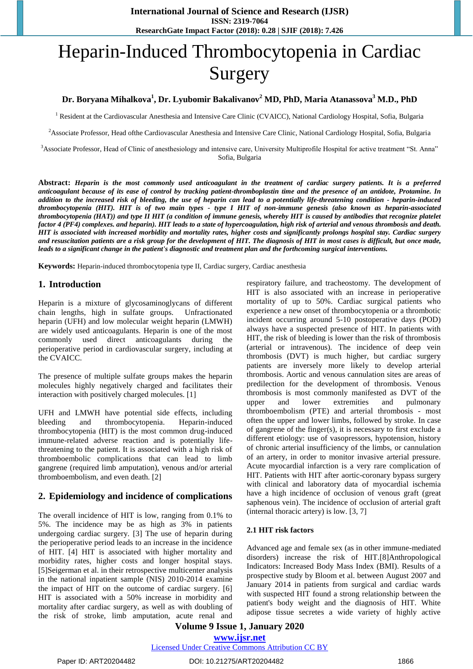# Heparin-Induced Thrombocytopenia in Cardiac Surgery

# **Dr. Boryana Mihalkova<sup>1</sup> , Dr. Lyubomir Bakalivanov<sup>2</sup> MD, PhD, Maria Atanassova<sup>3</sup> M.D., PhD**

<sup>1</sup> Resident at the Cardiovascular Anesthesia and Intensive Care Clinic (CVAICC), National Cardiology Hospital, Sofia, Bulgaria

<sup>2</sup>Associate Professor, Head ofthe Cardiovascular Anesthesia and Intensive Care Clinic, National Cardiology Hospital, Sofia, Bulgaria

<sup>3</sup>Associate Professor, Head of Clinic of anesthesiology and intensive care, University Multiprofile Hospital for active treatment "St. Anna" Sofia, Bulgaria

**Abstract:** *Heparin is the most commonly used anticoagulant in the treatment of cardiac surgery patients. It is a preferred anticoagulant because of its ease of control by tracking patient-thromboplastin time and the presence of an antidote, Protamine. In addition to the increased risk of bleeding, the use of heparin can lead to a potentially life-threatening condition - heparin-induced thrombocytopenia (HIT). HIT is of two main types - type I HIT of non-immune genesis (also known as heparin-associated thrombocytopenia (HAT)) and type II HIT (a condition of immune genesis, whereby HIT is caused by antibodies that recognize platelet factor 4 (PF4) complexes. and heparin). HIT leads to a state of hypercoagulation, high risk of arterial and venous thrombosis and death. HIT is associated with increased morbidity and mortality rates, higher costs and significantly prolongs hospital stay. Cardiac surgery and resuscitation patients are a risk group for the development of HIT. The diagnosis of HIT in most cases is difficult, but once made, leads to a significant change in the patient's diagnostic and treatment plan and the forthcoming surgical interventions.*

**Keywords:** Heparin-induced thrombocytopenia type II, Cardiac surgery, Cardiac anesthesia

# **1. Introduction**

Heparin is a mixture of glycosaminoglycans of different chain lengths, high in sulfate groups. Unfractionated heparin (UFH) and low molecular weight heparin (LMWH) are widely used anticoagulants. Heparin is one of the most commonly used direct anticoagulants during the perioperative period in cardiovascular surgery, including at the CVAICC.

The presence of multiple sulfate groups makes the heparin molecules highly negatively charged and facilitates their interaction with positively charged molecules. [1]

UFH and LMWH have potential side effects, including bleeding and thrombocytopenia. Heparin-induced thrombocytopenia (HIT) is the most common drug-induced immune-related adverse reaction and is potentially lifethreatening to the patient. It is associated with a high risk of thromboembolic complications that can lead to limb gangrene (required limb amputation), venous and/or arterial thromboembolism, and even death. [2]

# **2. Epidemiology and incidence of complications**

The overall incidence of HIT is low, ranging from 0.1% to 5%. The incidence may be as high as 3% in patients undergoing cardiac surgery. [3] The use of heparin during the perioperative period leads to an increase in the incidence of HIT. [4] HIT is associated with higher mortality and morbidity rates, higher costs and longer hospital stays. [5]Seigerman et al. in their retrospective multicenter analysis in the national inpatient sample (NIS) 2010-2014 examine the impact of HIT on the outcome of cardiac surgery. [6] HIT is associated with a 50% increase in morbidity and mortality after cardiac surgery, as well as with doubling of the risk of stroke, limb amputation, acute renal and respiratory failure, and tracheostomy. The development of HIT is also associated with an increase in perioperative mortality of up to 50%. Cardiac surgical patients who experience a new onset of thrombocytopenia or a thrombotic incident occurring around 5-10 postoperative days (POD) always have a suspected presence of HIT. In patients with HIT, the risk of bleeding is lower than the risk of thrombosis (arterial or intravenous). The incidence of deep vein thrombosis (DVT) is much higher, but cardiac surgery patients are inversely more likely to develop arterial thrombosis. Aortic and venous cannulation sites are areas of predilection for the development of thrombosis. Venous thrombosis is most commonly manifested as DVT of the upper and lower extremities and pulmonary thromboembolism (PTE) and arterial thrombosis - most often the upper and lower limbs, followed by stroke. In case of gangrene of the finger(s), it is necessary to first exclude a different etiology: use of vasopressors, hypotension, history of chronic arterial insufficiency of the limbs, or cannulation of an artery, in order to monitor invasive arterial pressure. Acute myocardial infarction is a very rare complication of HIT. Patients with HIT after aortic-coronary bypass surgery with clinical and laboratory data of myocardial ischemia have a high incidence of occlusion of venous graft (great saphenous vein). The incidence of occlusion of arterial graft (internal thoracic artery) is low. [3, 7]

#### **2.1 HIT risk factors**

Advanced age and female sex (as in other immune-mediated disorders) increase the risk of HIT.[8]Anthropological Indicators: Increased Body Mass Index (BMI). Results of a prospective study by Bloom et al. between August 2007 and January 2014 in patients from surgical and cardiac wards with suspected HIT found a strong relationship between the patient's body weight and the diagnosis of HIT. White adipose tissue secretes a wide variety of highly active

**Volume 9 Issue 1, January 2020 www.ijsr.net**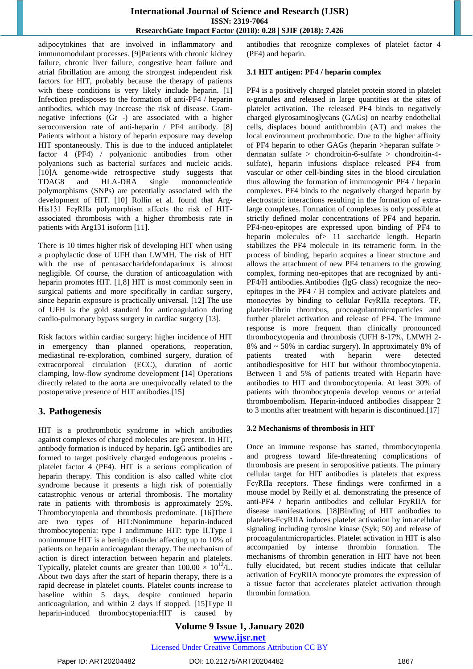adipocytokines that are involved in inflammatory and immunomodulant processes. [9]Patients with chronic kidney failure, chronic liver failure, congestive heart failure and atrial fibrillation are among the strongest independent risk factors for HIT, probably because the therapy of patients with these conditions is very likely include heparin. [1] Infection predisposes to the formation of anti-PF4 / heparin antibodies, which may increase the risk of disease. Gramnegative infections (Gr -) are associated with a higher seroconversion rate of anti-heparin / PF4 antibody. [8] Patients without a history of heparin exposure may develop HIT spontaneously. This is due to the induced antiplatelet factor 4 (PF4) / polyanionic antibodies from other polyanions such as bacterial surfaces and nucleic acids. [10]A genome-wide retrospective study suggests that TDAG8 and HLA-DRA single mononucleotide polymorphisms (SNPs) are potentially associated with the development of HIT. [10] Rollin et al. found that Arg-His131 FcγRIIa polymorphism affects the risk of HITassociated thrombosis with a higher thrombosis rate in patients with Arg131 isoform [11].

There is 10 times higher risk of developing HIT when using a prophylactic dose of UFH than LWMH. The risk of HIT with the use of pentasaccharidefondaparinux is almost negligible. Of course, the duration of anticoagulation with heparin promotes HIT. [1,8] HIT is most commonly seen in surgical patients and more specifically in cardiac surgery, since heparin exposure is practically universal. [12] The use of UFH is the gold standard for anticoagulation during cardio-pulmonary bypass surgery in cardiac surgery [13].

Risk factors within cardiac surgery: higher incidence of HIT in emergency than planned operations, reoperation, mediastinal re-exploration, combined surgery, duration of extracorporeal circulation (ECC), duration of aortic clamping, low-flow syndrome development [14] Operations directly related to the aorta are unequivocally related to the postoperative presence of HIT antibodies.[15]

# **3. Pathogenesis**

HIT is a prothrombotic syndrome in which antibodies against complexes of charged molecules are present. In HIT, antibody formation is induced by heparin. IgG antibodies are formed to target positively charged endogenous proteins platelet factor 4 (PF4). HIT is a serious complication of heparin therapy. This condition is also called white clot syndrome because it presents a high risk of potentially catastrophic venous or arterial thrombosis. The mortality rate in patients with thrombosis is approximately 25%. Thrombocytopenia and thrombosis predominate. [16]There are two types of HIT:Nonimmune heparin-induced thrombocytopenia: type I andimmune HIT: type II.Type I nonimmune HIT is a benign disorder affecting up to 10% of patients on heparin anticoagulant therapy. The mechanism of action is direct interaction between heparin and platelets. Typically, platelet counts are greater than  $100.00 \times 10^{12}$ /L. About two days after the start of heparin therapy, there is a rapid decrease in platelet counts. Platelet counts increase to baseline within 5 days, despite continued heparin anticoagulation, and within 2 days if stopped. [15]Type II heparin-induced thrombocytopenia:HIT is caused by antibodies that recognize complexes of platelet factor 4 (PF4) and heparin.

# **3.1 HIT antigen: PF4 / heparin complex**

PF4 is a positively charged platelet protein stored in platelet α-granules and released in large quantities at the sites of platelet activation. The released PF4 binds to negatively charged glycosaminoglycans (GAGs) on nearby endothelial cells, displaces bound antithrombin (AT) and makes the local environment prothrombotic. Due to the higher affinity of PF4 heparin to other GAGs (heparin >heparan sulfate > dermatan sulfate > chondroitin-6-sulfate > chondroitin-4 sulfate), heparin infusions displace released PF4 from vascular or other cell-binding sites in the blood circulation thus allowing the formation of immunogenic PF4 / heparin complexes. PF4 binds to the negatively charged heparin by electrostatic interactions resulting in the formation of extralarge complexes. Formation of complexes is only possible at strictly defined molar concentrations of PF4 and heparin. PF4-neo-epitopes are expressed upon binding of PF4 to heparin molecules of 11 saccharide length. Heparin stabilizes the PF4 molecule in its tetrameric form. In the process of binding, heparin acquires a linear structure and allows the attachment of new PF4 tetramers to the growing complex, forming neo-epitopes that are recognized by anti-PF4/H antibodies.Antibodies (IgG class) recognize the neoepitopes in the PF4 / H complex and activate platelets and monocytes by binding to cellular FcγRIIa receptors. TF, platelet-fibrin thrombus, procoagulantmicroparticles and further platelet activation and release of PF4. The immune response is more frequent than clinically pronounced thrombocytopenia and thrombosis (UFH 8-17%, LMWH 2- 8% and ~ 50% in cardiac surgery). In approximately 8% of patients treated with heparin were detected antibodiespositive for HIT but without thrombocytopenia. Between 1 and 5% of patients treated with Heparin have antibodies to HIT and thrombocytopenia. At least 30% of patients with thrombocytopenia develop venous or arterial thromboembolism. Heparin-induced antibodies disappear 2 to 3 months after treatment with heparin is discontinued.[17]

# **3.2 Mechanisms of thrombosis in HIT**

Once an immune response has started, thrombocytopenia and progress toward life-threatening complications of thrombosis are present in seropositive patients. The primary cellular target for HIT antibodies is platelets that express FcγRIIa receptors. These findings were confirmed in a mouse model by Reilly et al. demonstrating the presence of anti-PF4 / heparin antibodies and cellular FcyRIIA for disease manifestations. [18]Binding of HIT antibodies to platelets-FcyRIIA induces platelet activation by intracellular signaling including tyrosine kinase (Syk; 50) and release of procoagulantmicroparticles. Platelet activation in HIT is also accompanied by intense thrombin formation. The mechanisms of thrombin generation in HIT have not been fully elucidated, but recent studies indicate that cellular activation of FcyRIIA monocyte promotes the expression of a tissue factor that accelerates platelet activation through thrombin formation.

**Volume 9 Issue 1, January 2020 www.ijsr.net**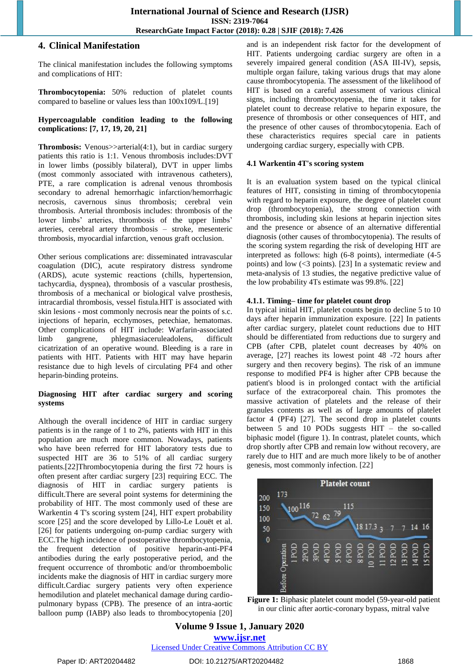## **4. Clinical Manifestation**

The clinical manifestation includes the following symptoms and complications of HIT:

**Thrombocytopenia:** 50% reduction of platelet counts compared to baseline or values less than 100x109/L.[19]

#### **Hypercoagulable condition leading to the following complications: [7, 17, 19, 20, 21]**

**Thrombosis:** Venous>>arterial(4:1), but in cardiac surgery patients this ratio is 1:1. Venous thrombosis includes:DVT in lower limbs (possibly bilateral), DVT in upper limbs (most commonly associated with intravenous catheters), PTE, a rare complication is adrenal venous thrombosis secondary to adrenal hemorrhagic infarction/hemorrhagic necrosis, cavernous sinus thrombosis; cerebral vein thrombosis. Arterial thrombosis includes: thrombosis of the lower limbs' arteries, thrombosis of the upper limbs' arteries, cerebral artery thrombosis – stroke, mesenteric thrombosis, myocardial infarction, venous graft occlusion.

Other serious complications are: disseminated intravascular coagulation (DIC), acute respiratory distress syndrome (ARDS), acute systemic reactions (chills, hypertension, tachycardia, dyspnea), thrombosis of a vascular prosthesis, thrombosis of a mechanical or biological valve prosthesis, intracardial thrombosis, vessel fistula.HIT is associated with skin lesions - most commonly necrosis near the points of s.c. injections of heparin, ecchymoses, petechiae, hematomas. Other complications of HIT include: Warfarin-associated limb gangrene, phlegmasiaceruleadolens, difficult cicatrization of an operative wound. Bleeding is a rare in patients with HIT. Patients with HIT may have heparin resistance due to high levels of circulating PF4 and other heparin-binding proteins.

#### **Diagnosing HIT after cardiac surgery and scoring systems**

Although the overall incidence of HIT in cardiac surgery patients is in the range of 1 to 2%, patients with HIT in this population are much more common. Nowadays, patients who have been referred for HIT laboratory tests due to suspected HIT are 36 to 51% of all cardiac surgery patients.[22]Thrombocytopenia during the first 72 hours is often present after cardiac surgery [23] requiring ECC. The diagnosis of HIT in cardiac surgery patients is difficult.There are several point systems for determining the probability of HIT. The most commonly used of these are Warkentin 4 T's scoring system [24], HIT expert probability score [25] and the score developed by Lillo-Le Louët et al. [26] for patients undergoing on-pump cardiac surgery with ECC.The high incidence of postoperative thrombocytopenia, the frequent detection of positive heparin-anti-PF4 antibodies during the early postoperative period, and the frequent occurrence of thrombotic and/or thromboembolic incidents make the diagnosis of HIT in cardiac surgery more difficult.Cardiac surgery patients very often experience hemodilution and platelet mechanical damage during cardiopulmonary bypass (CPB). The presence of an intra-aortic balloon pump (IABP) also leads to thrombocytopenia [20] and is an independent risk factor for the development of HIT. Patients undergoing cardiac surgery are often in a severely impaired general condition (ASA III-IV), sepsis, multiple organ failure, taking various drugs that may alone cause thrombocytopenia. The assessment of the likelihood of HIT is based on a careful assessment of various clinical signs, including thrombocytopenia, the time it takes for platelet count to decrease relative to heparin exposure, the presence of thrombosis or other consequences of HIT, and the presence of other causes of thrombocytopenia. Each of these characteristics requires special care in patients undergoing cardiac surgery, especially with CPB.

## **4.1 Warkentin 4T's scoring system**

It is an evaluation system based on the typical clinical features of HIT, consisting in timing of thrombocytopenia with regard to heparin exposure, the degree of platelet count drop (thrombocytopenia), the strong connection with thrombosis, including skin lesions at heparin injection sites and the presence or absence of an alternative differential diagnosis (other causes of thrombocytopenia). The results of the scoring system regarding the risk of developing HIT are interpreted as follows: high (6-8 points), intermediate (4-5 points) and low (<3 points). [23] In a systematic review and meta-analysis of 13 studies, the negative predictive value of the low probability 4Ts estimate was 99.8%. [22]

## **4.1.1. Timing– time for platelet count drop**

In typical initial HIT, platelet counts begin to decline 5 to 10 days after heparin immunization exposure. [22] In patients after cardiac surgery, platelet count reductions due to HIT should be differentiated from reductions due to surgery and CPB (after CPB, platelet count decreases by 40% on average, [27] reaches its lowest point 48 -72 hours after surgery and then recovery begins). The risk of an immune response to modified PF4 is higher after CPB because the patient's blood is in prolonged contact with the artificial surface of the extracorporeal chain. This promotes the massive activation of platelets and the release of their granules contents as well as of large amounts of platelet factor 4 (PF4) [27]. The second drop in platelet counts between 5 and 10 PODs suggests HIT – the so-called biphasic model (figure 1). In contrast, platelet counts, which drop shortly after CPB and remain low without recovery, are rarely due to HIT and are much more likely to be of another genesis, most commonly infection. [22]



**Figure 1:** Biphasic platelet count model (59-year-old patient in our clinic after aortic-coronary bypass, mitral valve

# **Volume 9 Issue 1, January 2020 www.ijsr.net**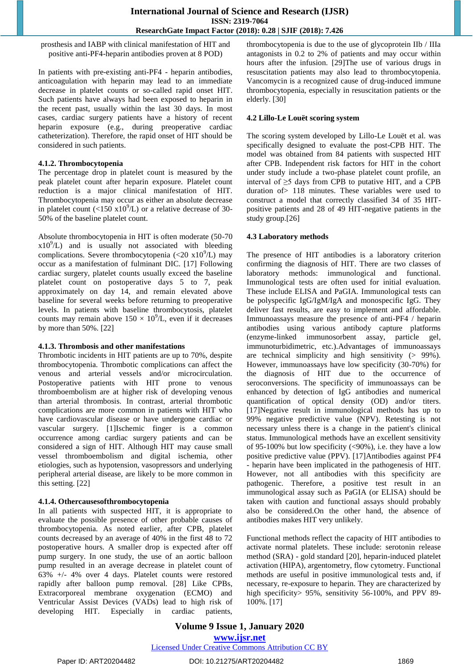prosthesis and IABP with clinical manifestation of HIT and positive anti-PF4-heparin antibodies proven at 8 POD)

In patients with pre-existing anti-PF4 - heparin antibodies, anticoagulation with heparin may lead to an immediate decrease in platelet counts or so-called rapid onset HIT. Such patients have always had been exposed to heparin in the recent past, usually within the last 30 days. In most cases, cardiac surgery patients have a history of recent heparin exposure (e.g., during preoperative cardiac catheterization). Therefore, the rapid onset of HIT should be considered in such patients.

#### **4.1.2. Thrombocytopenia**

The percentage drop in platelet count is measured by the peak platelet count after heparin exposure. Platelet count reduction is a major clinical manifestation of HIT. Thrombocytopenia may occur as either an absolute decrease in platelet count (<150  $x10^9$ /L) or a relative decrease of 30-50% of the baseline platelet count.

Absolute thrombocytopenia in HIT is often moderate (50-70  $x10<sup>9</sup>/L$ ) and is usually not associated with bleeding complications. Severe thrombocytopenia  $(<20 \text{ x}10^{9}/L)$  may occur as a manifestation of fulminant DIC. [17] Following cardiac surgery, platelet counts usually exceed the baseline platelet count on postoperative days 5 to 7, peak approximately on day 14, and remain elevated above baseline for several weeks before returning to preoperative levels. In patients with baseline thrombocytosis, platelet counts may remain above  $150 \times 10^9$ /L, even if it decreases by more than 50%. [22]

#### **4.1.3. Thrombosis and other manifestations**

Thrombotic incidents in HIT patients are up to 70%, despite thrombocytopenia. Thrombotic complications can affect the venous and arterial vessels and/or microcirculation. Postoperative patients with HIT prone to venous thromboembolism are at higher risk of developing venous than arterial thrombosis. In contrast, arterial thrombotic complications are more common in patients with HIT who have cardiovascular disease or have undergone cardiac or vascular surgery. [1]Ischemic finger is a common occurrence among cardiac surgery patients and can be considered a sign of HIT. Although HIT may cause small vessel thromboembolism and digital ischemia, other etiologies, such as hypotension, vasopressors and underlying peripheral arterial disease, are likely to be more common in this setting. [22]

#### **4.1.4. Othercausesofthrombocytopenia**

In all patients with suspected HIT, it is appropriate to evaluate the possible presence of other probable causes of thrombocytopenia. As noted earlier, after CPB, platelet counts decreased by an average of 40% in the first 48 to 72 postoperative hours. A smaller drop is expected after off pump surgery. In one study, the use of an aortic balloon pump resulted in an average decrease in platelet count of 63% +/- 4% over 4 days. Platelet counts were restored rapidly after balloon pump removal. [28] Like CPBs, Extracorporeal membrane oxygenation (ECMO) and Ventricular Assist Devices (VADs) lead to high risk of developing HIT. Especially in cardiac patients, thrombocytopenia is due to the use of glycoprotein IIb / IIIa antagonists in 0.2 to 2% of patients and may occur within hours after the infusion. [29]The use of various drugs in resuscitation patients may also lead to thrombocytopenia. Vancomycin is a recognized cause of drug-induced immune thrombocytopenia, especially in resuscitation patients or the elderly. [30]

#### **4.2 Lillo-Le Louët scoring system**

The scoring system developed by Lillo-Le Louët et al. was specifically designed to evaluate the post-CPB HIT. The model was obtained from 84 patients with suspected HIT after CPB. Independent risk factors for HIT in the cohort under study include a two-phase platelet count profile, an interval of  $\geq$ 5 days from CPB to putative HIT, and a CPB duration of> 118 minutes. These variables were used to construct a model that correctly classified 34 of 35 HITpositive patients and 28 of 49 HIT-negative patients in the study group.[26]

#### **4.3 Laboratory methods**

The presence of HIT antibodies is a laboratory criterion confirming the diagnosis of HIT. There are two classes of laboratory methods: immunological and functional. Immunological tests are often used for initial evaluation. These include ELISA and PaGIA. Immunological tests can be polyspecific IgG/IgM/IgA and monospecific IgG. They deliver fast results, are easy to implement and affordable. Immunoassays measure the presence of anti-PF4 / heparin antibodies using various antibody capture platforms (enzyme-linked immunosorbent assay, particle gel, immunoturbidimetric, etc.).Advantages of immunoassays are technical simplicity and high sensitivity (> 99%). However, immunoassays have low specificity (30-70%) for the diagnosis of HIT due to the occurrence of seroconversions. The specificity of immunoassays can be enhanced by detection of IgG antibodies and numerical quantification of optical density (OD) and/or titers. [17]Negative result in immunological methods has up to 99% negative predictive value (NPV). Retesting is not necessary unless there is a change in the patient's clinical status. Immunological methods have an excellent sensitivity of 95-100% but low specificity (<90%), i.e. they have a low positive predictive value (PPV). [17]Antibodies against PF4 - heparin have been implicated in the pathogenesis of HIT. However, not all antibodies with this specificity are pathogenic. Therefore, a positive test result in an immunological assay such as PaGIA (or ELISA) should be taken with caution and functional assays should probably also be considered.On the other hand, the absence of antibodies makes HIT very unlikely.

Functional methods reflect the capacity of HIT antibodies to activate normal platelets. These include: serotonin release method (SRA) - gold standard [20], heparin-induced platelet activation (HIPA), argentometry, flow cytometry. Functional methods are useful in positive immunological tests and, if necessary, re-exposure to heparin. They are characterized by high specificity> 95%, sensitivity 56-100%, and PPV 89- 100%. [17]

**Volume 9 Issue 1, January 2020 www.ijsr.net** Licensed Under Creative Commons Attribution CC BY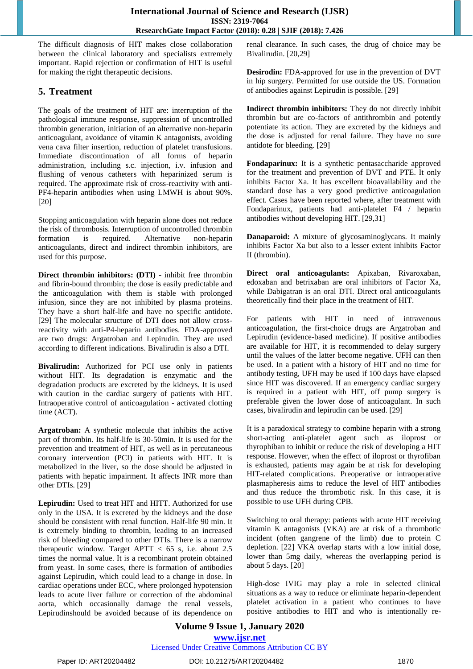The difficult diagnosis of HIT makes close collaboration between the clinical laboratory and specialists extremely important. Rapid rejection or confirmation of HIT is useful for making the right therapeutic decisions.

# **5. Treatment**

The goals of the treatment of HIT are: interruption of the pathological immune response, suppression of uncontrolled thrombin generation, initiation of an alternative non-heparin anticoagulant, avoidance of vitamin K antagonists, avoiding vena cava filter insertion, reduction of platelet transfusions. Immediate discontinuation of all forms of heparin administration, including s.c. injection, i.v. infusion and flushing of venous catheters with heparinized serum is required. The approximate risk of cross-reactivity with anti-PF4-heparin antibodies when using LMWH is about 90%. [20]

Stopping anticoagulation with heparin alone does not reduce the risk of thrombosis. Interruption of uncontrolled thrombin formation is required. Alternative non-heparin anticoagulants, direct and indirect thrombin inhibitors, are used for this purpose.

**Direct thrombin inhibitors: (DTI)** - inhibit free thrombin and fibrin-bound thrombin; the dose is easily predictable and the anticoagulation with them is stable with prolonged infusion, since they are not inhibited by plasma proteins. They have a short half-life and have no specific antidote. [29] The molecular structure of DTI does not allow crossreactivity with anti-P4-heparin antibodies. FDA-approved are two drugs: Argatroban and Lepirudin. They are used according to different indications. Bivalirudin is also a DTI.

**Bivalirudin:** Authorized for PCI use only in patients without HIT. Its degradation is enzymatic and the degradation products are excreted by the kidneys. It is used with caution in the cardiac surgery of patients with HIT. Intraoperative control of anticoagulation - activated clotting time (ACT).

**Argatroban:** A synthetic molecule that inhibits the active part of thrombin. Its half-life is 30-50min. It is used for the prevention and treatment of HIT, as well as in percutaneous coronary intervention (PCI) in patients with HIT. It is metabolized in the liver, so the dose should be adjusted in patients with hepatic impairment. It affects INR more than other DTIs. [29]

**Lepirudin:** Used to treat HIT and HITT. Authorized for use only in the USA. It is excreted by the kidneys and the dose should be consistent with renal function. Half-life 90 min. It is extremely binding to thrombin, leading to an increased risk of bleeding compared to other DTIs. There is a narrow therapeutic window. Target APTT  $<$  65 s, i.e. about 2.5 times the normal value. It is a recombinant protein obtained from yeast. In some cases, there is formation of antibodies against Lepirudin, which could lead to a change in dose. In cardiac operations under ECC, where prolonged hypotension leads to acute liver failure or correction of the abdominal aorta, which occasionally damage the renal vessels, Lepirudinshould be avoided because of its dependence on renal clearance. In such cases, the drug of choice may be Bivalirudin. [20,29]

**Desirodin:** FDA-approved for use in the prevention of DVT in hip surgery. Permitted for use outside the US. Formation of antibodies against Lepirudin is possible. [29]

**Indirect thrombin inhibitors:** They do not directly inhibit thrombin but are co-factors of antithrombin and potently potentiate its action. They are excreted by the kidneys and the dose is adjusted for renal failure. They have no sure antidote for bleeding. [29]

**Fondaparinux:** It is a synthetic pentasaccharide approved for the treatment and prevention of DVT and PTE. It only inhibits Factor Xa. It has excellent bioavailability and the standard dose has a very good predictive anticoagulation effect. Cases have been reported where, after treatment with Fondaparinux, patients had anti-platelet F4 / heparin antibodies without developing HIT. [29,31]

**Danaparoid:** A mixture of glycosaminoglycans. It mainly inhibits Factor Xa but also to a lesser extent inhibits Factor II (thrombin).

**Direct oral anticoagulants:** Apixaban, Rivaroxaban, edoxaban and betrixaban are oral inhibitors of Factor Xa, while Dabigatran is an oral DTI. Direct oral anticoagulants theoretically find their place in the treatment of HIT.

For patients with HIT in need of intravenous anticoagulation, the first-choice drugs are Argatroban and Lepirudin (evidence-based medicine). If positive antibodies are available for HIT, it is recommended to delay surgery until the values of the latter become negative. UFH can then be used. In a patient with a history of HIT and no time for antibody testing, UFH may be used if 100 days have elapsed since HIT was discovered. If an emergency cardiac surgery is required in a patient with HIT, off pump surgery is preferable given the lower dose of anticoagulant. In such cases, bivalirudin and lepirudin can be used. [29]

It is a paradoxical strategy to combine heparin with a strong short-acting anti-platelet agent such as iloprost or thyrophiban to inhibit or reduce the risk of developing a HIT response. However, when the effect of iloprost or thyrofiban is exhausted, patients may again be at risk for developing HIT-related complications. Preoperative or intraoperative plasmapheresis aims to reduce the level of HIT antibodies and thus reduce the thrombotic risk. In this case, it is possible to use UFH during CPB.

Switching to oral therapy: patients with acute HIT receiving vitamin K antagonists (VKA) are at risk of a thrombotic incident (often gangrene of the limb) due to protein C depletion. [22] VKA overlap starts with a low initial dose, lower than 5mg daily, whereas the overlapping period is about 5 days. [20]

High-dose IVIG may play a role in selected clinical situations as a way to reduce or eliminate heparin-dependent platelet activation in a patient who continues to have positive antibodies to HIT and who is intentionally re-

# **Volume 9 Issue 1, January 2020 www.ijsr.net** Licensed Under Creative Commons Attribution CC BY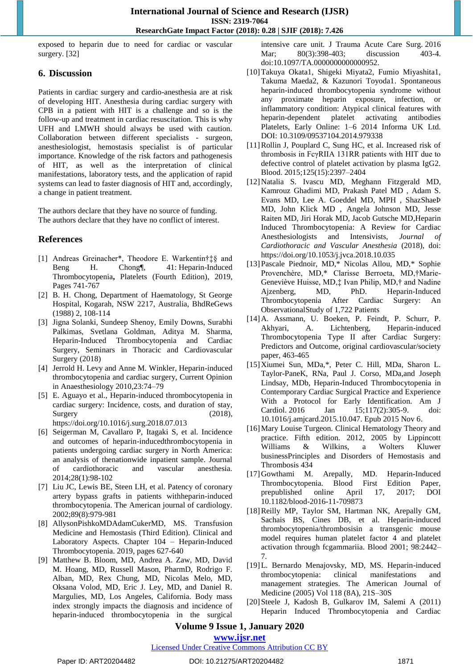exposed to heparin due to need for cardiac or vascular surgery. [32]

# **6. Discussion**

Patients in cardiac surgery and cardio-anesthesia are at risk of developing HIT. Anesthesia during cardiac surgery with CPB in a patient with HIT is a challenge and so is the follow-up and treatment in cardiac resuscitation. This is why UFH and LMWH should always be used with caution. Collaboration between different specialists - surgeon, anesthesiologist, hemostasis specialist is of particular importance. Knowledge of the risk factors and pathogenesis of HIT, as well as the interpretation of clinical manifestations, laboratory tests, and the application of rapid systems can lead to faster diagnosis of HIT and, accordingly, a change in patient treatment.

The authors declare that they have no source of funding. The authors declare that they have no conflict of interest.

# **References**

- [1] Andreas Greinacher\*, Theodore E. Warkentin†‡§ and Beng H. Chong¶, 41: [Heparin-Induced](https://www.sciencedirect.com/science/article/pii/B9780128134566000412) [Thrombocytopenia](https://www.sciencedirect.com/science/article/pii/B9780128134566000412)**,** [Platelets \(Fourth Edition\),](https://www.sciencedirect.com/science/book/9780128134566) 2019, Pages 741-767
- [2] B. H. Chong, Department of Haematology, St George Hospital, Kogarah, NSW 2217, Australia, BhdReGews (1988) 2, 108-114
- [3] Jigna Solanki, Sundeep Shenoy, Emily Downs, Surabhi Palkimas, Svetlana Goldman, Aditya M. Sharma, Heparin-Induced Thrombocytopenia and Cardiac Surgery, Seminars in Thoracic and Cardiovascular Surgery (2018)
- [4] Jerrold H. Levy and Anne M. Winkler, Heparin-induced thrombocytopenia and cardiac surgery, Current Opinion in Anaesthesiology 2010,23:74–79
- [5] E. Aguayo et al., Heparin-induced thrombocytopenia in cardiac surgery: Incidence, costs, and duration of stay, Surgery (2018), <https://doi.org/10.1016/j.surg.2018.07.013>
- [6] Seigerman M, Cavallaro P, Itagaki S, et al. Incidence and outcomes of heparin-inducedthrombocytopenia in patients undergoing cardiac surgery in North America: an analysis of thenationwide inpatient sample. Journal of cardiothoracic and vascular anesthesia. 2014;28(1):98-102
- [7] Liu JC, Lewis BE, Steen LH, et al. Patency of coronary artery bypass grafts in patients withheparin-induced thrombocytopenia. The American journal of cardiology. 2002;89(8):979-981
- [8] [AllysonPishkoMDAdamCukerMD, MS.](https://www.sciencedirect.com/science/article/pii/B9780128137260001045#!) Transfusion Medicine and Hemostasis (Third Edition). Clinical and Laboratory Aspects. Chapter 104 – Heparin-Induced Thrombocytopenia. 2019, pages 627-640
- [9] Matthew B. Bloom, MD, Andrea A. Zaw, MD, David M. Hoang, MD, Russell Mason, PharmD, Rodrigo F. Alban, MD, Rex Chung, MD, Nicolas Melo, MD, Oksana Volod, MD, Eric J. Ley, MD, and Daniel R. Margulies, MD, Los Angeles, California. Body mass index strongly impacts the diagnosis and incidence of heparin-induced thrombocytopenia in the surgical

intensive care unit. [J Trauma Acute Care Surg.](https://www.ncbi.nlm.nih.gov/pubmed/26906645) 2016 Mar; 80(3):398-403; discussion 403-4. doi:10.1097/TA.0000000000000952.

- [10]Takuya Okata1, Shigeki Miyata2, Fumio Miyashita1, Takuma Maeda2, & Kazunori Toyoda1. Spontaneous heparin-induced thrombocytopenia syndrome without any proximate heparin exposure, infection, or inflammatory condition: Atypical clinical features with heparin-dependent platelet activating antibodies Platelets, Early Online: 1–6 2014 Informa UK Ltd. DOI: 10.3109/09537104.2014.979338
- [11]Rollin J, Pouplard C, Sung HC, et al. Increased risk of thrombosis in FcγRIIA 131RR patients with HIT due to defective control of platelet activation by plasma IgG2. Blood. 2015;125(15):2397–2404
- [12]Natalia S. Ivascu MD, Meghann Fitzgerald MD, Kamrouz Ghadimi MD, Prakash Patel MD , Adam S. Evans MD, Lee A. Goeddel MD, MPH , ShazShaeÞ MD, John Klick MD , Angela Johnson MD, Jesse Raiten MD, Jiri Horak MD, Jacob Gutsche MD,Heparin Induced Thrombocytopenia: A Review for Cardiac Anesthesiologists and Intensivists, *Journal of Cardiothoracic and Vascular Anesthesia* (2018), doi: https://doi.org/10.1053/j.jvca.2018.10.035
- [13]Pascale Piednoir, MD,\* Nicolas Allou, MD,\* Sophie Provenchère, MD,\* Clarisse Berroeta, MD,†Marie-Geneviève Huisse, MD,‡ Ivan Philip, MD,† and Nadine Ajzenberg, MD, PhD. Heparin-Induced Thrombocytopenia After Cardiac Surgery: An ObservationalStudy of 1,722 Patients
- [14]A. Assmann, U. Boeken, P. Feindt, P. Schurr, P. Akhyari, A. Lichtenberg, Heparin-induced Thrombocytopenia Type II after Cardiac Surgery: Predictors and Outcome, original cardiovascular/society paper, 463-465
- [15]Xiumei Sun, MDa,\*, Peter C. Hill, MDa, Sharon L. Taylor-PaneK, RNa, Paul J. Corso, MDa,and Joseph Lindsay, MDb, Heparin-Induced Thrombocytopenia in Contemporary Cardiac Surgical Practice and Experience With a Protocol for Early Identification. [Am J](https://www.ncbi.nlm.nih.gov/pubmed/26684518)  [Cardiol.](https://www.ncbi.nlm.nih.gov/pubmed/26684518) 2016 Jan 15;117(2):305-9. doi: 10.1016/j.amjcard.2015.10.047. Epub 2015 Nov 6.
- [16]Mary Louise Turgeon. Clinical Hematology Theory and practice. Fifth edition. 2012, 2005 by Lippincott Williams & Wilkins, a Wolters Kluwer businessPrinciples and Disorders of Hemostasis and Thrombosis 434
- [17]Gowthami M. Arepally, MD. Heparin-Induced Thrombocytopenia. Blood First Edition Paper, prepublished online April 17, 2017; DOI 10.1182/blood-2016-11-709873
- [18]Reilly MP, Taylor SM, Hartman NK, Arepally GM, Sachais BS, Cines DB, et al. Heparin-induced thrombocytopenia/thrombosisin a transgenic mouse model requires human platelet factor 4 and platelet activation through fcgammariia. Blood 2001; 98:2442– 7.
- [19]L. Bernardo Menajovsky, MD, MS. Heparin-induced thrombocytopenia: clinical manifestations and management strategies. The American Journal of Medicine (2005) Vol 118 (8A), 21S–30S
- [20]Steele J, Kadosh B, Gulkarov IM, Salemi A (2011) Heparin Induced Thrombocytopenia and Cardiac

# **Volume 9 Issue 1, January 2020**

# **www.ijsr.net**